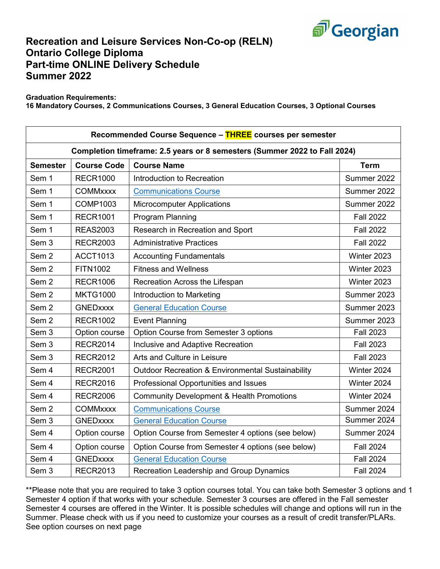

## **Recreation and Leisure Services Non-Co-op (RELN) Ontario College Diploma Part-time ONLINE Delivery Schedule Summer 2022**

**Graduation Requirements:**

**16 Mandatory Courses, 2 Communications Courses, 3 General Education Courses, 3 Optional Courses**

| Recommended Course Sequence - THREE courses per semester                  |                    |                                                      |                  |  |  |  |
|---------------------------------------------------------------------------|--------------------|------------------------------------------------------|------------------|--|--|--|
| Completion timeframe: 2.5 years or 8 semesters (Summer 2022 to Fall 2024) |                    |                                                      |                  |  |  |  |
| <b>Semester</b>                                                           | <b>Course Code</b> | <b>Course Name</b>                                   | <b>Term</b>      |  |  |  |
| Sem 1                                                                     | <b>RECR1000</b>    | Introduction to Recreation                           | Summer 2022      |  |  |  |
| Sem 1                                                                     | <b>COMMxxxx</b>    | <b>Communications Course</b>                         | Summer 2022      |  |  |  |
| Sem 1                                                                     | <b>COMP1003</b>    | <b>Microcomputer Applications</b>                    | Summer 2022      |  |  |  |
| Sem 1                                                                     | <b>RECR1001</b>    | Program Planning                                     | <b>Fall 2022</b> |  |  |  |
| Sem 1                                                                     | <b>REAS2003</b>    | Research in Recreation and Sport                     | <b>Fall 2022</b> |  |  |  |
| Sem <sub>3</sub>                                                          | <b>RECR2003</b>    | <b>Administrative Practices</b>                      | <b>Fall 2022</b> |  |  |  |
| Sem <sub>2</sub>                                                          | <b>ACCT1013</b>    | <b>Accounting Fundamentals</b>                       | Winter 2023      |  |  |  |
| Sem <sub>2</sub>                                                          | <b>FITN1002</b>    | <b>Fitness and Wellness</b>                          | Winter 2023      |  |  |  |
| Sem <sub>2</sub>                                                          | <b>RECR1006</b>    | Recreation Across the Lifespan                       | Winter 2023      |  |  |  |
| Sem <sub>2</sub>                                                          | <b>MKTG1000</b>    | Introduction to Marketing                            | Summer 2023      |  |  |  |
| Sem <sub>2</sub>                                                          | <b>GNEDxxxx</b>    | <b>General Education Course</b>                      | Summer 2023      |  |  |  |
| Sem <sub>2</sub>                                                          | <b>RECR1002</b>    | <b>Event Planning</b>                                | Summer 2023      |  |  |  |
| Sem <sub>3</sub>                                                          | Option course      | Option Course from Semester 3 options                | <b>Fall 2023</b> |  |  |  |
| Sem <sub>3</sub>                                                          | <b>RECR2014</b>    | Inclusive and Adaptive Recreation                    | <b>Fall 2023</b> |  |  |  |
| Sem <sub>3</sub>                                                          | <b>RECR2012</b>    | Arts and Culture in Leisure                          | <b>Fall 2023</b> |  |  |  |
| Sem 4                                                                     | <b>RECR2001</b>    | Outdoor Recreation & Environmental Sustainability    | Winter 2024      |  |  |  |
| Sem 4                                                                     | <b>RECR2016</b>    | Professional Opportunities and Issues                | Winter 2024      |  |  |  |
| Sem 4                                                                     | <b>RECR2006</b>    | <b>Community Development &amp; Health Promotions</b> | Winter 2024      |  |  |  |
| Sem <sub>2</sub>                                                          | <b>COMMxxxx</b>    | <b>Communications Course</b>                         | Summer 2024      |  |  |  |
| Sem <sub>3</sub>                                                          | <b>GNEDxxxx</b>    | <b>General Education Course</b>                      | Summer 2024      |  |  |  |
| Sem 4                                                                     | Option course      | Option Course from Semester 4 options (see below)    | Summer 2024      |  |  |  |
| Sem 4                                                                     | Option course      | Option Course from Semester 4 options (see below)    | <b>Fall 2024</b> |  |  |  |
| Sem 4                                                                     | <b>GNEDxxxx</b>    | <b>General Education Course</b>                      | <b>Fall 2024</b> |  |  |  |
| Sem 3                                                                     | <b>RECR2013</b>    | Recreation Leadership and Group Dynamics             | <b>Fall 2024</b> |  |  |  |

\*\*Please note that you are required to take 3 option courses total. You can take both Semester 3 options and 1 Semester 4 option if that works with your schedule. Semester 3 courses are offered in the Fall semester Semester 4 courses are offered in the Winter. It is possible schedules will change and options will run in the Summer. Please check with us if you need to customize your courses as a result of credit transfer/PLARs. See option courses on next page